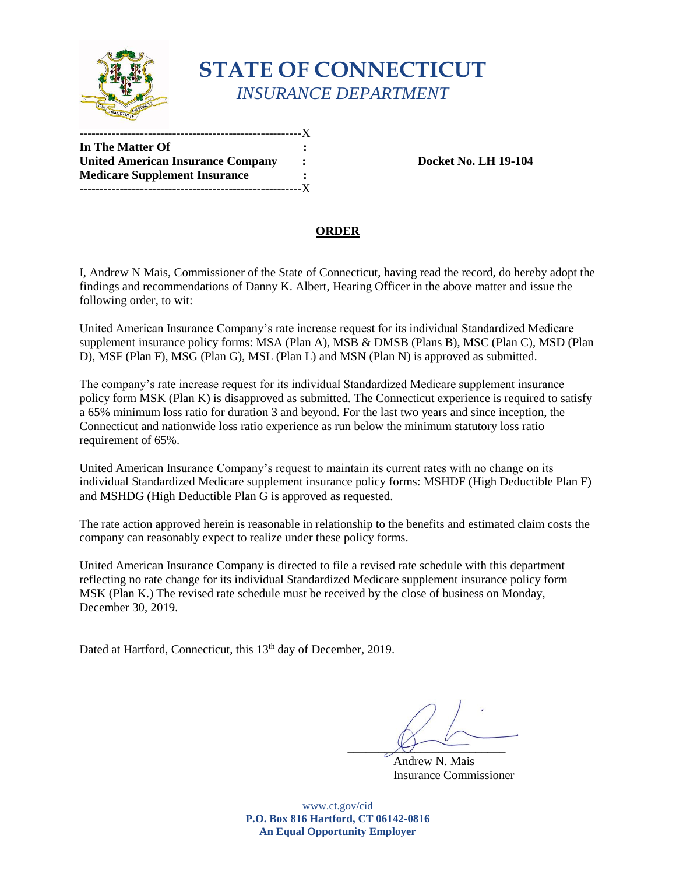

## **STATE OF CONNECTICUT** *INSURANCE DEPARTMENT*

| In The Matter Of                         |              |
|------------------------------------------|--------------|
| <b>United American Insurance Company</b> | :            |
| <b>Medicare Supplement Insurance</b>     |              |
|                                          | $\mathbf{X}$ |

**Docket No. LH 19-104** 

## **ORDER**

I, Andrew N Mais, Commissioner of the State of Connecticut, having read the record, do hereby adopt the findings and recommendations of Danny K. Albert, Hearing Officer in the above matter and issue the following order, to wit:

United American Insurance Company's rate increase request for its individual Standardized Medicare supplement insurance policy forms: MSA (Plan A), MSB & DMSB (Plans B), MSC (Plan C), MSD (Plan D), MSF (Plan F), MSG (Plan G), MSL (Plan L) and MSN (Plan N) is approved as submitted.

The company's rate increase request for its individual Standardized Medicare supplement insurance policy form MSK (Plan K) is disapproved as submitted. The Connecticut experience is required to satisfy a 65% minimum loss ratio for duration 3 and beyond. For the last two years and since inception, the Connecticut and nationwide loss ratio experience as run below the minimum statutory loss ratio requirement of 65%.

United American Insurance Company's request to maintain its current rates with no change on its individual Standardized Medicare supplement insurance policy forms: MSHDF (High Deductible Plan F) and MSHDG (High Deductible Plan G is approved as requested.

The rate action approved herein is reasonable in relationship to the benefits and estimated claim costs the company can reasonably expect to realize under these policy forms.

United American Insurance Company is directed to file a revised rate schedule with this department reflecting no rate change for its individual Standardized Medicare supplement insurance policy form MSK (Plan K.) The revised rate schedule must be received by the close of business on Monday, December 30, 2019.

Dated at Hartford, Connecticut, this 13<sup>th</sup> day of December, 2019.

 $x$ 

 Andrew N. Mais Insurance Commissioner

www.ct.gov/cid **P.O. Box 816 Hartford, CT 06142-0816 An Equal Opportunity Employer**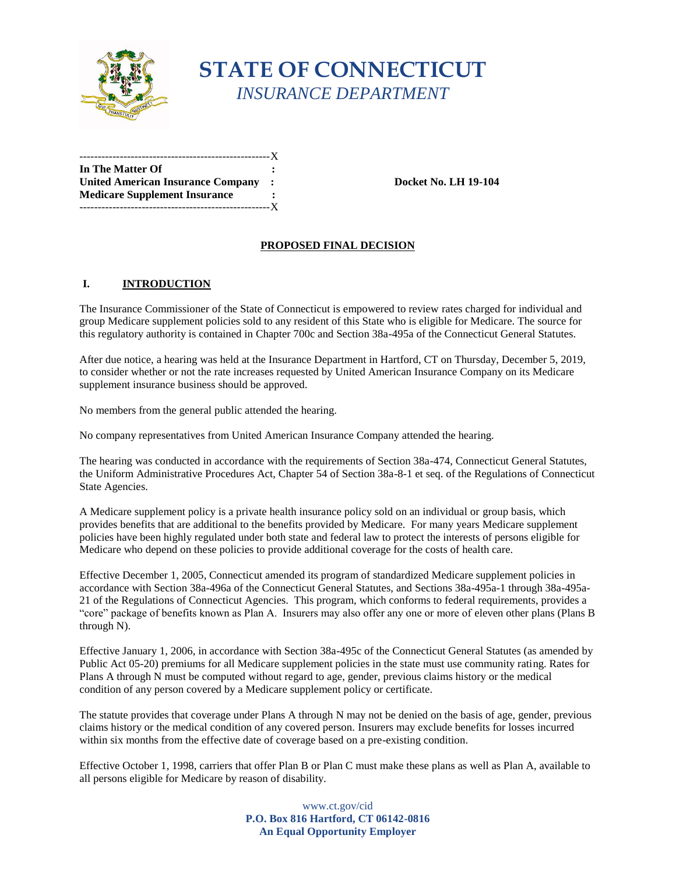

# **STATE OF CONNECTICUT** *INSURANCE DEPARTMENT*

| In The Matter Of                         |         |
|------------------------------------------|---------|
| <b>United American Insurance Company</b> | $\cdot$ |
| <b>Medicare Supplement Insurance</b>     |         |
| ------------------------                 | $-X$    |

**United American Insurance Company : Docket No. LH 19-104**

## **PROPOSED FINAL DECISION**

### **I. INTRODUCTION**

The Insurance Commissioner of the State of Connecticut is empowered to review rates charged for individual and group Medicare supplement policies sold to any resident of this State who is eligible for Medicare. The source for this regulatory authority is contained in Chapter 700c and Section 38a-495a of the Connecticut General Statutes.

After due notice, a hearing was held at the Insurance Department in Hartford, CT on Thursday, December 5, 2019, to consider whether or not the rate increases requested by United American Insurance Company on its Medicare supplement insurance business should be approved.

No members from the general public attended the hearing.

No company representatives from United American Insurance Company attended the hearing.

The hearing was conducted in accordance with the requirements of Section 38a-474, Connecticut General Statutes, the Uniform Administrative Procedures Act, Chapter 54 of Section 38a-8-1 et seq. of the Regulations of Connecticut State Agencies.

A Medicare supplement policy is a private health insurance policy sold on an individual or group basis, which provides benefits that are additional to the benefits provided by Medicare. For many years Medicare supplement policies have been highly regulated under both state and federal law to protect the interests of persons eligible for Medicare who depend on these policies to provide additional coverage for the costs of health care.

Effective December 1, 2005, Connecticut amended its program of standardized Medicare supplement policies in accordance with Section 38a-496a of the Connecticut General Statutes, and Sections 38a-495a-1 through 38a-495a-21 of the Regulations of Connecticut Agencies. This program, which conforms to federal requirements, provides a "core" package of benefits known as Plan A. Insurers may also offer any one or more of eleven other plans (Plans B through N).

Effective January 1, 2006, in accordance with Section 38a-495c of the Connecticut General Statutes (as amended by Public Act 05-20) premiums for all Medicare supplement policies in the state must use community rating. Rates for Plans A through N must be computed without regard to age, gender, previous claims history or the medical condition of any person covered by a Medicare supplement policy or certificate.

The statute provides that coverage under Plans A through N may not be denied on the basis of age, gender, previous claims history or the medical condition of any covered person. Insurers may exclude benefits for losses incurred within six months from the effective date of coverage based on a pre-existing condition.

Effective October 1, 1998, carriers that offer Plan B or Plan C must make these plans as well as Plan A, available to all persons eligible for Medicare by reason of disability.

> www.ct.gov/cid **P.O. Box 816 Hartford, CT 06142-0816 An Equal Opportunity Employer**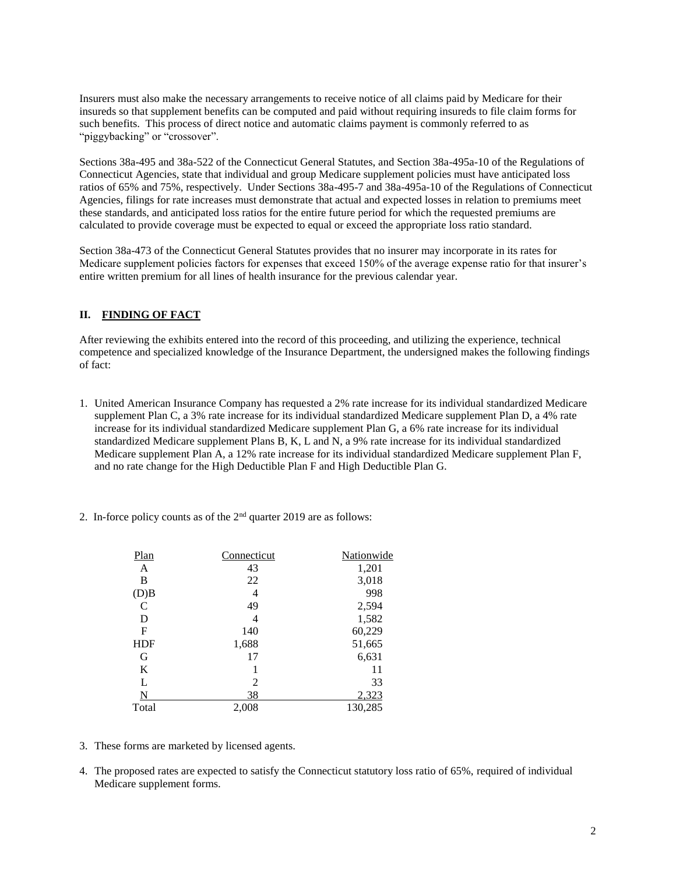Insurers must also make the necessary arrangements to receive notice of all claims paid by Medicare for their insureds so that supplement benefits can be computed and paid without requiring insureds to file claim forms for such benefits. This process of direct notice and automatic claims payment is commonly referred to as "piggybacking" or "crossover".

Sections 38a-495 and 38a-522 of the Connecticut General Statutes, and Section 38a-495a-10 of the Regulations of Connecticut Agencies, state that individual and group Medicare supplement policies must have anticipated loss ratios of 65% and 75%, respectively. Under Sections 38a-495-7 and 38a-495a-10 of the Regulations of Connecticut Agencies, filings for rate increases must demonstrate that actual and expected losses in relation to premiums meet these standards, and anticipated loss ratios for the entire future period for which the requested premiums are calculated to provide coverage must be expected to equal or exceed the appropriate loss ratio standard.

Section 38a-473 of the Connecticut General Statutes provides that no insurer may incorporate in its rates for Medicare supplement policies factors for expenses that exceed 150% of the average expense ratio for that insurer's entire written premium for all lines of health insurance for the previous calendar year.

### **II. FINDING OF FACT**

After reviewing the exhibits entered into the record of this proceeding, and utilizing the experience, technical competence and specialized knowledge of the Insurance Department, the undersigned makes the following findings of fact:

- 1. United American Insurance Company has requested a 2% rate increase for its individual standardized Medicare supplement Plan C, a 3% rate increase for its individual standardized Medicare supplement Plan D, a 4% rate increase for its individual standardized Medicare supplement Plan G, a 6% rate increase for its individual standardized Medicare supplement Plans B, K, L and N, a 9% rate increase for its individual standardized Medicare supplement Plan A, a 12% rate increase for its individual standardized Medicare supplement Plan F, and no rate change for the High Deductible Plan F and High Deductible Plan G.
	- Plan Connecticut Nationwide A 43 1,201 B 22 3,018 (D)B 4 998  $C = 49$  2,594 D  $4$   $1,582$ F 140 60,229 HDF 1,688 51,665 G 17 6,631 K  $1$  11 L  $2$  33 N 38 2,323 Total 2,008 130,285
- 2. In-force policy counts as of the  $2<sup>nd</sup>$  quarter 2019 are as follows:

- 3. These forms are marketed by licensed agents.
- 4. The proposed rates are expected to satisfy the Connecticut statutory loss ratio of 65%, required of individual Medicare supplement forms.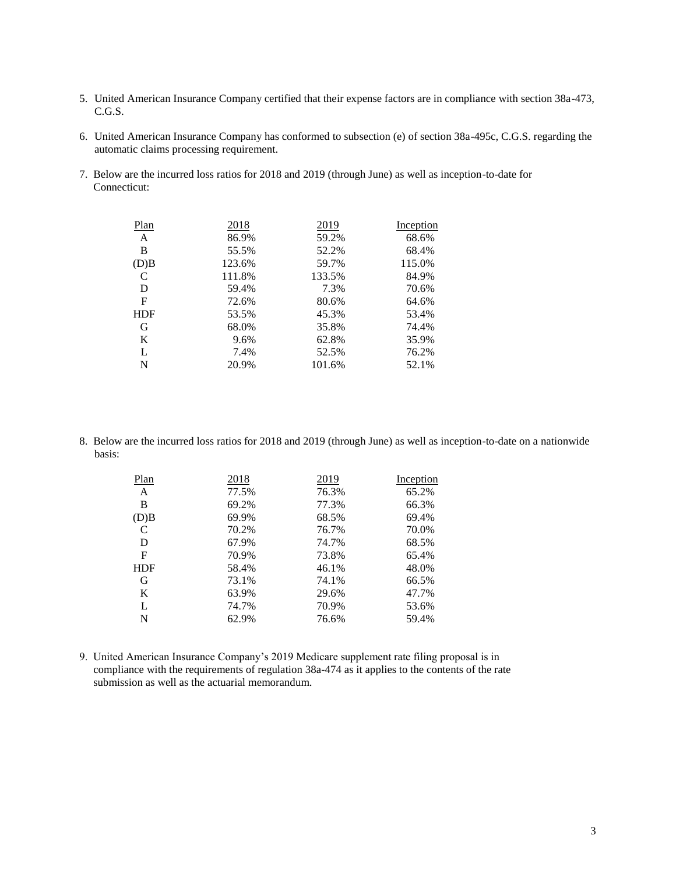- 5. United American Insurance Company certified that their expense factors are in compliance with section 38a-473, C.G.S.
- 6. United American Insurance Company has conformed to subsection (e) of section 38a-495c, C.G.S. regarding the automatic claims processing requirement.
- 7. Below are the incurred loss ratios for 2018 and 2019 (through June) as well as inception-to-date for Connecticut:

| Plan       | 2018   | 2019   | Inception |
|------------|--------|--------|-----------|
| A          | 86.9%  | 59.2%  | 68.6%     |
| B          | 55.5%  | 52.2%  | 68.4%     |
| (D)B       | 123.6% | 59.7%  | 115.0%    |
| C          | 111.8% | 133.5% | 84.9%     |
| D          | 59.4%  | 7.3%   | 70.6%     |
| F          | 72.6%  | 80.6%  | 64.6%     |
| <b>HDF</b> | 53.5%  | 45.3%  | 53.4%     |
| G          | 68.0%  | 35.8%  | 74.4%     |
| K          | 9.6%   | 62.8%  | 35.9%     |
| L          | 7.4%   | 52.5%  | 76.2%     |
| N          | 20.9%  | 101.6% | 52.1%     |

8. Below are the incurred loss ratios for 2018 and 2019 (through June) as well as inception-to-date on a nationwide basis:

| 2018  | 2019  | Inception |
|-------|-------|-----------|
| 77.5% | 76.3% | 65.2%     |
| 69.2% | 77.3% | 66.3%     |
| 69.9% | 68.5% | 69.4%     |
| 70.2% | 76.7% | 70.0%     |
| 67.9% | 74.7% | 68.5%     |
| 70.9% | 73.8% | 65.4%     |
| 58.4% | 46.1% | 48.0%     |
| 73.1% | 74.1% | 66.5%     |
| 63.9% | 29.6% | 47.7%     |
| 74.7% | 70.9% | 53.6%     |
| 62.9% | 76.6% | 59.4%     |
|       |       |           |

9. United American Insurance Company's 2019 Medicare supplement rate filing proposal is in compliance with the requirements of regulation 38a-474 as it applies to the contents of the rate submission as well as the actuarial memorandum.